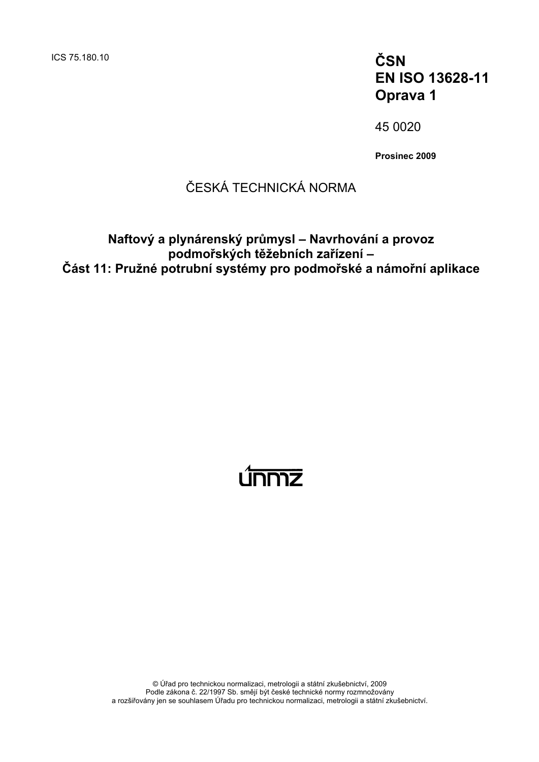ICS 75.180.10 **ČSN** 

# **EN ISO 13628-11 Oprava 1**

45 0020

**Prosinec 2009** 

### ČESKÁ TECHNICKÁ NORMA

### **Naftový a plynárenský průmysl – Navrhování a provoz podmořských těžebních zařízení – Část 11: Pružné potrubní systémy pro podmořské a námořní aplikace**

# <u>únmz</u>

© Úřad pro technickou normalizaci, metrologii a státní zkušebnictví, 2009 Podle zákona č. 22/1997 Sb. smějí být české technické normy rozmnožovány a rozšiřovány jen se souhlasem Úřadu pro technickou normalizaci, metrologii a státní zkušebnictví.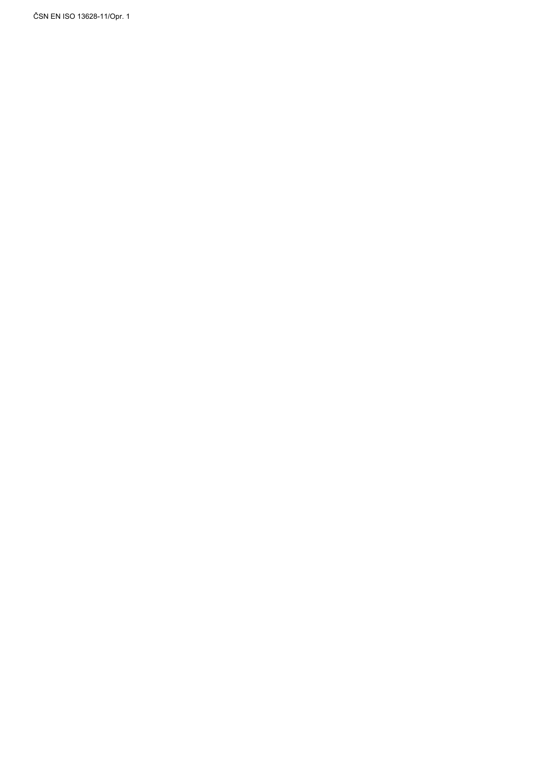ČSN EN ISO 13628-11/Opr. 1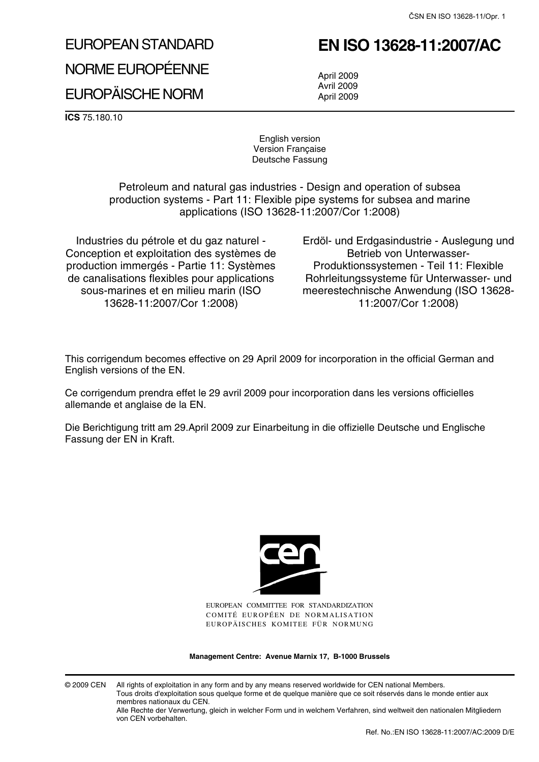## EUROPEAN STANDARD NORME EUROPÉENNE EUROPÄISCHE NORM

### **EN ISO 13628-11:2007/AC**

April 2009 Avril 2009 April 2009

**ICS** 75.180.10

English version Version Française Deutsche Fassung

Petroleum and natural gas industries - Design and operation of subsea production systems - Part 11: Flexible pipe systems for subsea and marine applications (ISO 13628-11:2007/Cor 1:2008)

Industries du pétrole et du gaz naturel - Conception et exploitation des systèmes de production immergés - Partie 11: Systèmes de canalisations flexibles pour applications sous-marines et en milieu marin (ISO 13628-11:2007/Cor 1:2008)

Erdöl- und Erdgasindustrie - Auslegung und Betrieb von Unterwasser-Produktionssystemen - Teil 11: Flexible Rohrleitungssysteme für Unterwasser- und meerestechnische Anwendung (ISO 13628- 11:2007/Cor 1:2008)

This corrigendum becomes effective on 29 April 2009 for incorporation in the official German and English versions of the EN.

Ce corrigendum prendra effet le 29 avril 2009 pour incorporation dans les versions officielles allemande et anglaise de la EN.

Die Berichtigung tritt am 29.April 2009 zur Einarbeitung in die offizielle Deutsche und Englische Fassung der EN in Kraft.



EUROPEAN COMMITTEE FOR STANDARDIZATION COMITÉ EUROPÉEN DE NORMALISATION EUROPÄISCHES KOMITEE FÜR NORMUNG

**Management Centre: Avenue Marnix 17, B-1000 Brussels**

© 2009 CEN All rights of exploitation in any form and by any means reserved worldwide for CEN national Members. Tous droits d'exploitation sous quelque forme et de quelque manière que ce soit réservés dans le monde entier aux membres nationaux du CEN. Alle Rechte der Verwertung, gleich in welcher Form und in welchem Verfahren, sind weltweit den nationalen Mitgliedern

von CEN vorbehalten.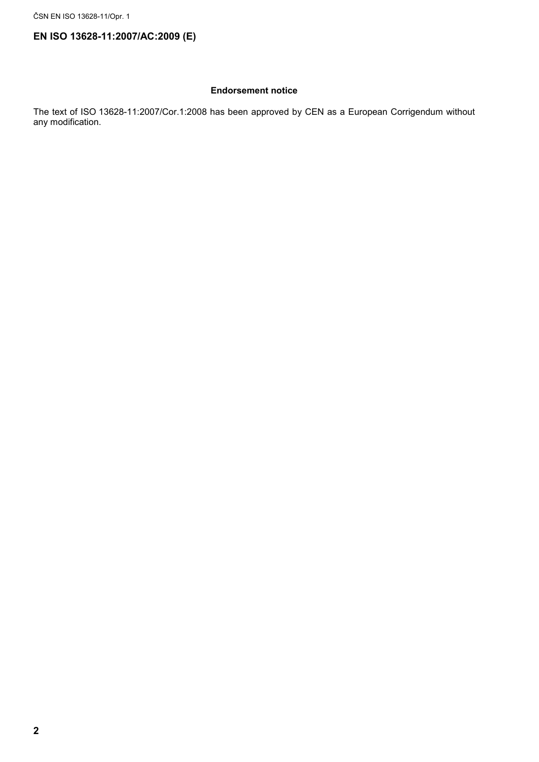#### **EN ISO 13628-11:2007/AC:2009 (E)**

#### **Endorsement notice**

The text of ISO 13628-11:2007/Cor.1:2008 has been approved by CEN as a European Corrigendum without any modification.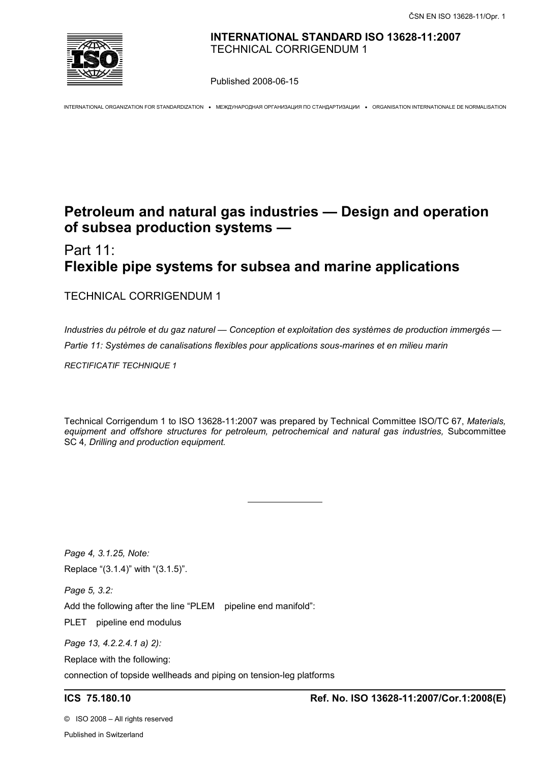

#### **INTERNATIONAL STANDARD ISO 13628-11:2007**  TECHNICAL CORRIGENDUM 1

Published 2008-06-15

INTERNATIONAL ORGANIZATION FOR STANDARDIZATION • МЕЖДУНАРОДНАЯ ОРГАНИЗАЦИЯ ПО СТАНДАРТИЗАЦИИ • ORGANISATION INTERNATIONALE DE NORMALISATION

### **Petroleum and natural gas industries — Design and operation of subsea production systems —**

### Part 11: **Flexible pipe systems for subsea and marine applications**

TECHNICAL CORRIGENDUM 1

*Industries du pétrole et du gaz naturel — Conception et exploitation des systèmes de production immergés — Partie 11: Systèmes de canalisations flexibles pour applications sous-marines et en milieu marin* 

*RECTIFICATIF TECHNIQUE 1*

Technical Corrigendum 1 to ISO 13628-11:2007 was prepared by Technical Committee ISO/TC 67, *Materials, equipment and offshore structures for petroleum, petrochemical and natural gas industries,* Subcommittee SC 4*, Drilling and production equipment.*

 $\overline{a}$ 

*Page 4, 3.1.25, Note:* Replace "(3.1.4)" with "(3.1.5)".

*Page 5, 3.2:* Add the following after the line "PLEM pipeline end manifold": PLET pipeline end modulus

*Page 13, 4.2.2.4.1 a) 2):*

Replace with the following:

connection of topside wellheads and piping on tension-leg platforms

©ISO 2008 – All rights reserved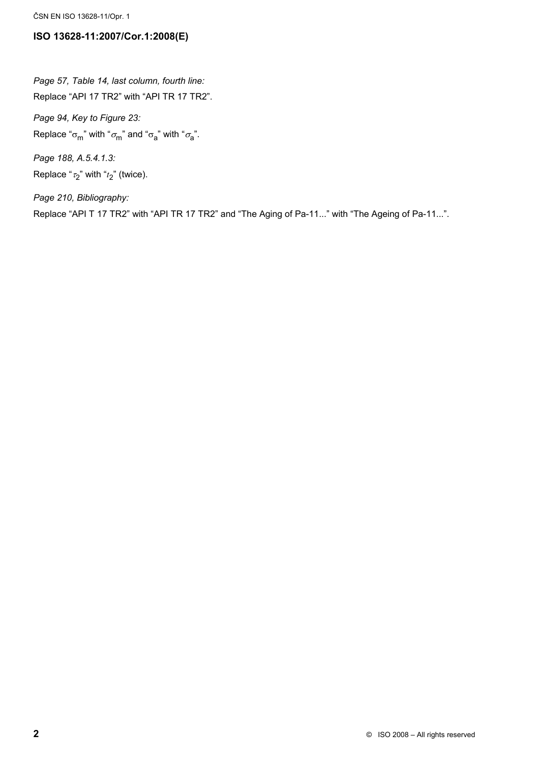ČSN EN ISO 13628-11/Opr. 1

#### **ISO 13628-11:2007/Cor.1:2008(E)**

*Page 57, Table 14, last column, fourth line:* Replace "API 17 TR2" with "API TR 17 TR2".

*Page 94, Key to Figure 23:*

Replace " $\sigma_{m}$ " with " $\sigma_{m}$ " and " $\sigma_{a}$ " with " $\sigma_{a}$ ".

*Page 188, A.5.4.1.3:*

Replace " $\tau_2$ " with " $t_2$ " (twice).

*Page 210, Bibliography:* Replace "API T 17 TR2" with "API TR 17 TR2" and "The Aging of Pa-11..." with "The Ageing of Pa-11...".